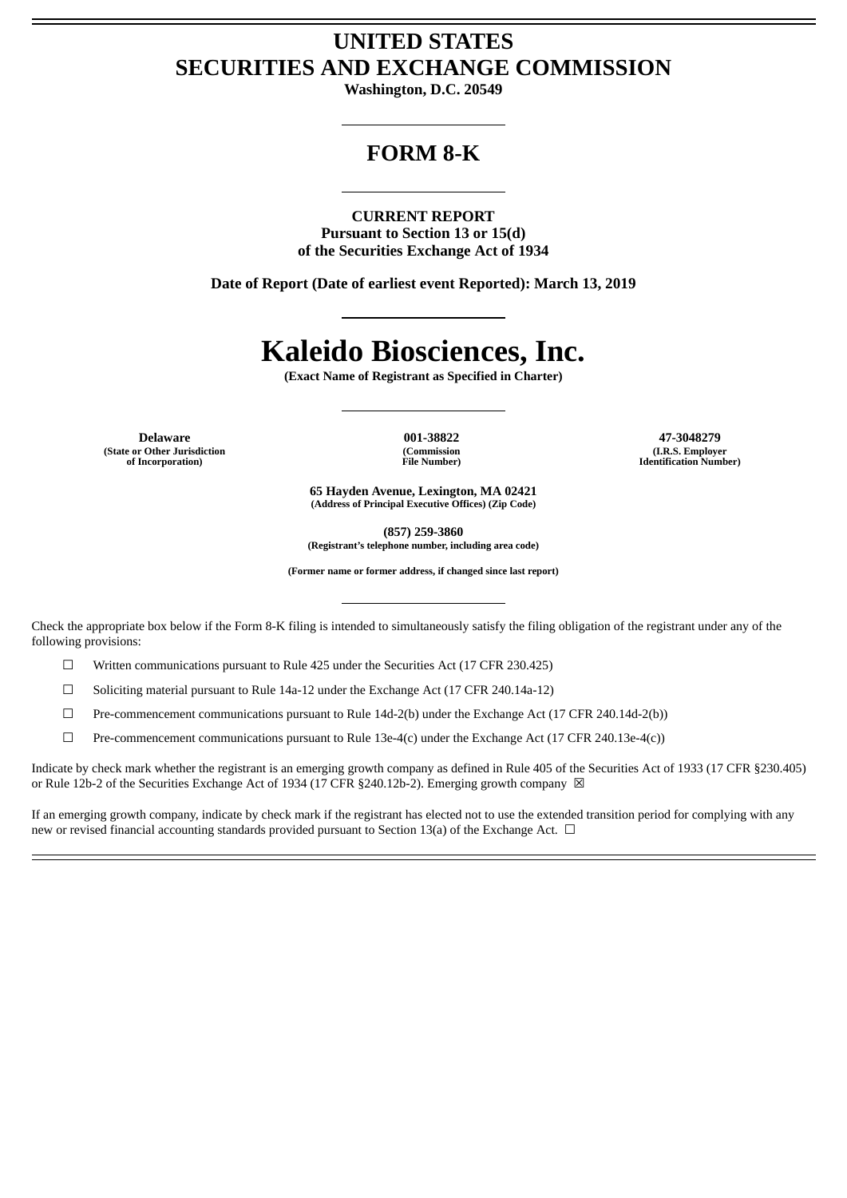## **UNITED STATES SECURITIES AND EXCHANGE COMMISSION**

**Washington, D.C. 20549**

## **FORM 8-K**

**CURRENT REPORT Pursuant to Section 13 or 15(d) of the Securities Exchange Act of 1934**

**Date of Report (Date of earliest event Reported): March 13, 2019**

## **Kaleido Biosciences, Inc.**

**(Exact Name of Registrant as Specified in Charter)**

**(State or Other Jurisdiction of Incorporation)**

**(Commission File Number)**

**Delaware 001-38822 47-3048279 (I.R.S. Employer Identification Number)**

> **65 Hayden Avenue, Lexington, MA 02421 (Address of Principal Executive Offices) (Zip Code)**

> > **(857) 259-3860**

**(Registrant's telephone number, including area code)**

**(Former name or former address, if changed since last report)**

Check the appropriate box below if the Form 8-K filing is intended to simultaneously satisfy the filing obligation of the registrant under any of the following provisions:

☐ Written communications pursuant to Rule 425 under the Securities Act (17 CFR 230.425)

☐ Soliciting material pursuant to Rule 14a-12 under the Exchange Act (17 CFR 240.14a-12)

☐ Pre-commencement communications pursuant to Rule 14d-2(b) under the Exchange Act (17 CFR 240.14d-2(b))

☐ Pre-commencement communications pursuant to Rule 13e-4(c) under the Exchange Act (17 CFR 240.13e-4(c))

Indicate by check mark whether the registrant is an emerging growth company as defined in Rule 405 of the Securities Act of 1933 (17 CFR §230.405) or Rule 12b-2 of the Securities Exchange Act of 1934 (17 CFR §240.12b-2). Emerging growth company  $\boxtimes$ 

If an emerging growth company, indicate by check mark if the registrant has elected not to use the extended transition period for complying with any new or revised financial accounting standards provided pursuant to Section 13(a) of the Exchange Act.  $\Box$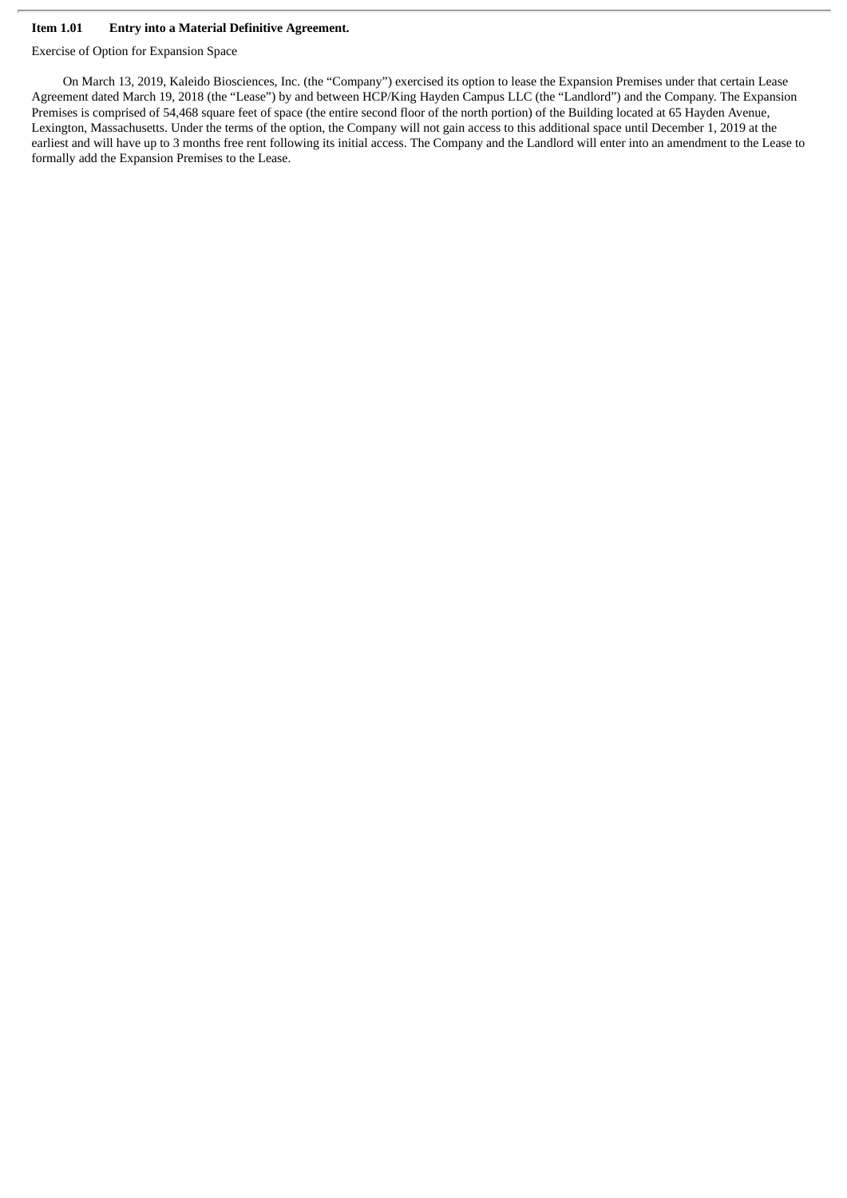## **Item 1.01 Entry into a Material Definitive Agreement.**

Exercise of Option for Expansion Space

On March 13, 2019, Kaleido Biosciences, Inc. (the "Company") exercised its option to lease the Expansion Premises under that certain Lease Agreement dated March 19, 2018 (the "Lease") by and between HCP/King Hayden Campus LLC (the "Landlord") and the Company. The Expansion Premises is comprised of 54,468 square feet of space (the entire second floor of the north portion) of the Building located at 65 Hayden Avenue, Lexington, Massachusetts. Under the terms of the option, the Company will not gain access to this additional space until December 1, 2019 at the earliest and will have up to 3 months free rent following its initial access. The Company and the Landlord will enter into an amendment to the Lease to formally add the Expansion Premises to the Lease.